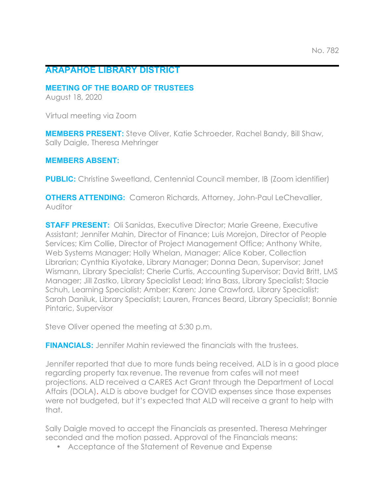# **ARAPAHOE LIBRARY DISTRICT**

### **MEETING OF THE BOARD OF TRUSTEES**

August 18, 2020

Virtual meeting via Zoom

**MEMBERS PRESENT:** Steve Oliver, Katie Schroeder, Rachel Bandy, Bill Shaw, Sally Daigle, Theresa Mehringer

## **MEMBERS ABSENT:**

**PUBLIC:** Christine Sweetland, Centennial Council member, IB (Zoom identifier)

**OTHERS ATTENDING:** Cameron Richards, Attorney, John-Paul LeChevallier, Auditor

**STAFF PRESENT:** Oli Sanidas, Executive Director; Marie Greene, Executive Assistant; Jennifer Mahin, Director of Finance; Luis Morejon, Director of People Services; Kim Collie, Director of Project Management Office; Anthony White, Web Systems Manager; Holly Whelan, Manager; Alice Kober, Collection Librarian; Cynthia Kiyotake, Library Manager; Donna Dean, Supervisor; Janet Wismann, Library Specialist; Cherie Curtis, Accounting Supervisor; David Britt, LMS Manager; Jill Zastko, Library Specialist Lead; Irina Bass, Library Specialist; Stacie Schuh, Learning Specialist; Amber; Karen; Jane Crawford, Library Specialist; Sarah Daniluk, Library Specialist; Lauren, Frances Beard, Library Specialist; Bonnie Pintaric, Supervisor

Steve Oliver opened the meeting at 5:30 p.m.

**FINANCIALS:** Jennifer Mahin reviewed the financials with the trustees.

Jennifer reported that due to more funds being received, ALD is in a good place regarding property tax revenue. The revenue from cafes will not meet projections. ALD received a CARES Act Grant through the Department of Local Affairs (DOLA). ALD is above budget for COVID expenses since those expenses were not budgeted, but it's expected that ALD will receive a grant to help with that.

Sally Daigle moved to accept the Financials as presented. Theresa Mehringer seconded and the motion passed. Approval of the Financials means:

• Acceptance of the Statement of Revenue and Expense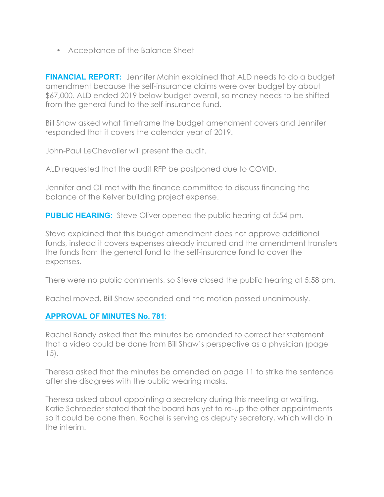• Acceptance of the Balance Sheet

**FINANCIAL REPORT:** Jennifer Mahin explained that ALD needs to do a budget amendment because the self-insurance claims were over budget by about \$67,000. ALD ended 2019 below budget overall, so money needs to be shifted from the general fund to the self-insurance fund.

Bill Shaw asked what timeframe the budget amendment covers and Jennifer responded that it covers the calendar year of 2019.

John-Paul LeChevalier will present the audit.

ALD requested that the audit RFP be postponed due to COVID.

Jennifer and Oli met with the finance committee to discuss financing the balance of the Kelver building project expense.

**PUBLIC HEARING:** Steve Oliver opened the public hearing at 5:54 pm.

Steve explained that this budget amendment does not approve additional funds, instead it covers expenses already incurred and the amendment transfers the funds from the general fund to the self-insurance fund to cover the expenses.

There were no public comments, so Steve closed the public hearing at 5:58 pm.

Rachel moved, Bill Shaw seconded and the motion passed unanimously.

## **APPROVAL OF MINUTES No. 781**:

Rachel Bandy asked that the minutes be amended to correct her statement that a video could be done from Bill Shaw's perspective as a physician (page 15).

Theresa asked that the minutes be amended on page 11 to strike the sentence after she disagrees with the public wearing masks.

Theresa asked about appointing a secretary during this meeting or waiting. Katie Schroeder stated that the board has yet to re-up the other appointments so it could be done then. Rachel is serving as deputy secretary, which will do in the interim.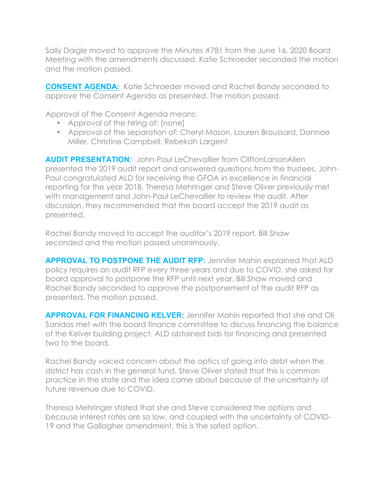Sally Daigle moved to approve the Minutes #781 from the June 16, 2020 Board Meeting with the amendments discussed. Katie Schroeder seconded the motion and the motion passed.

**CONSENT AGENDA:** Katie Schroeder moved and Rachel Bandy seconded to approve the Consent Agenda as presented. The motion passed.

Approval of the Consent Agenda means:

- Approval of the hiring of: [none]
- Approval of the separation of: Cheryl Mason, Lauren Broussard, Dannae Miller, Christine Campbell, Rebekah Largent

**AUDIT PRESENTATION:** John-Paul LeChevallier from CliftonLarsonAllen presented the 2019 audit report and answered questions from the trustees. John-Paul congratulated ALD for receiving the GFOA in excellence in financial reporting for the year 2018. Theresa Mehringer and Steve Oliver previously met with management and John-Paul LeChevallier to review the audit. After discussion, they recommended that the board accept the 2019 audit as presented.

Rachel Bandy moved to accept the auditor's 2019 report. Bill Shaw seconded and the motion passed unanimously.

**APPROVAL TO POSTPONE THE AUDIT RFP:** Jennifer Mahin explained that ALD policy requires an audit RFP every three years and due to COVID, she asked for board approval to postpone the RFP until next year. Bill Shaw moved and Rachel Bandy seconded to approve the postponement of the audit RFP as presented. The motion passed.

**APPROVAL FOR FINANCING KELVER:** Jennifer Mahin reported that she and Oli Sanidas met with the board finance committee to discuss financing the balance of the Kelver building project. ALD obtained bids for financing and presented two to the board.

Rachel Bandy voiced concern about the optics of going into debt when the district has cash in the general fund. Steve Oliver stated that this is common practice in the state and the idea came about because of the uncertainty of future revenue due to COVID.

Theresa Mehringer stated that she and Steve considered the options and because interest rates are so low, and coupled with the uncertainty of COVID-19 and the Gallagher amendment, this is the safest option.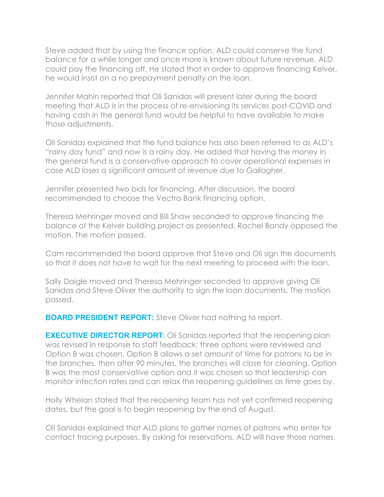Steve added that by using the finance option, ALD could conserve the fund balance for a while longer and once more is known about future revenue, ALD could pay the financing off. He stated that in order to approve financing Kelver, he would insist on a no prepayment penalty on the loan.

Jennifer Mahin reported that Oli Sanidas will present later during the board meeting that ALD is in the process of re-envisioning its services post-COVID and having cash in the general fund would be helpful to have available to make those adjustments.

Oli Sanidas explained that the fund balance has also been referred to as ALD's "rainy day fund" and now is a rainy day. He added that having the money in the general fund is a conservative approach to cover operational expenses in case ALD loses a significant amount of revenue due to Gallagher.

Jennifer presented two bids for financing. After discussion, the board recommended to choose the Vectra Bank financing option.

Theresa Mehringer moved and Bill Shaw seconded to approve financing the balance of the Kelver building project as presented. Rachel Bandy opposed the motion. The motion passed.

Cam recommended the board approve that Steve and Oli sign the documents so that it does not have to wait for the next meeting to proceed with the loan.

Sally Daigle moved and Theresa Mehringer seconded to approve giving Oli Sanidas and Steve Oliver the authority to sign the loan documents. The motion passed.

**BOARD PRESIDENT REPORT:** Steve Oliver had nothing to report.

**EXECUTIVE DIRECTOR REPORT:** Oli Sanidas reported that the reopening plan was revised in response to staff feedback; three options were reviewed and Option B was chosen. Option B allows a set amount of time for patrons to be in the branches, then after 90 minutes, the branches will close for cleaning. Option B was the most conservative option and it was chosen so that leadership can monitor infection rates and can relax the reopening guidelines as time goes by.

Holly Whelan stated that the reopening team has not yet confirmed reopening dates, but the goal is to begin reopening by the end of August.

Oli Sanidas explained that ALD plans to gather names of patrons who enter for contact tracing purposes. By asking for reservations, ALD will have those names.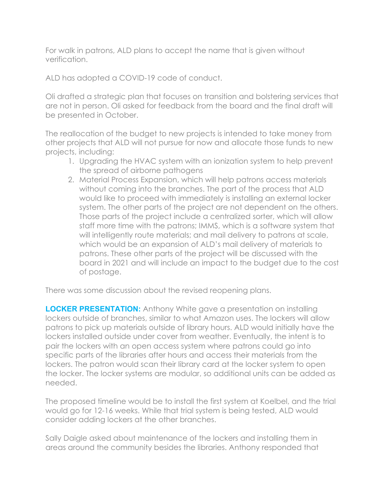For walk in patrons, ALD plans to accept the name that is given without verification.

ALD has adopted a COVID-19 code of conduct.

Oli drafted a strategic plan that focuses on transition and bolstering services that are not in person. Oli asked for feedback from the board and the final draft will be presented in October.

The reallocation of the budget to new projects is intended to take money from other projects that ALD will not pursue for now and allocate those funds to new projects, including:

- 1. Upgrading the HVAC system with an ionization system to help prevent the spread of airborne pathogens
- 2. Material Process Expansion, which will help patrons access materials without coming into the branches. The part of the process that ALD would like to proceed with immediately is installing an external locker system. The other parts of the project are not dependent on the others. Those parts of the project include a centralized sorter, which will allow staff more time with the patrons; IMMS, which is a software system that will intelligently route materials; and mail delivery to patrons at scale, which would be an expansion of ALD's mail delivery of materials to patrons. These other parts of the project will be discussed with the board in 2021 and will include an impact to the budget due to the cost of postage.

There was some discussion about the revised reopening plans.

**LOCKER PRESENTATION:** Anthony White gave a presentation on installing lockers outside of branches, similar to what Amazon uses. The lockers will allow patrons to pick up materials outside of library hours. ALD would initially have the lockers installed outside under cover from weather. Eventually, the intent is to pair the lockers with an open access system where patrons could go into specific parts of the libraries after hours and access their materials from the lockers. The patron would scan their library card at the locker system to open the locker. The locker systems are modular, so additional units can be added as needed.

The proposed timeline would be to install the first system at Koelbel, and the trial would go for 12-16 weeks. While that trial system is being tested, ALD would consider adding lockers at the other branches.

Sally Daigle asked about maintenance of the lockers and installing them in areas around the community besides the libraries. Anthony responded that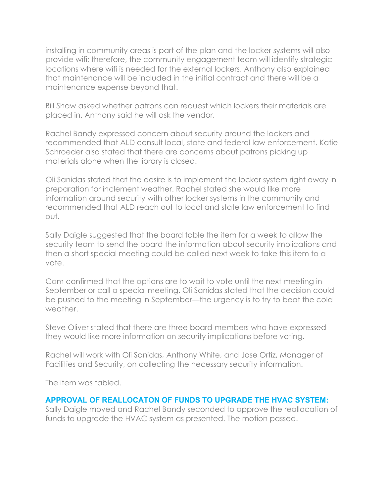installing in community areas is part of the plan and the locker systems will also provide wifi; therefore, the community engagement team will identify strategic locations where wifi is needed for the external lockers. Anthony also explained that maintenance will be included in the initial contract and there will be a maintenance expense beyond that.

Bill Shaw asked whether patrons can request which lockers their materials are placed in. Anthony said he will ask the vendor.

Rachel Bandy expressed concern about security around the lockers and recommended that ALD consult local, state and federal law enforcement. Katie Schroeder also stated that there are concerns about patrons picking up materials alone when the library is closed.

Oli Sanidas stated that the desire is to implement the locker system right away in preparation for inclement weather. Rachel stated she would like more information around security with other locker systems in the community and recommended that ALD reach out to local and state law enforcement to find out.

Sally Daigle suggested that the board table the item for a week to allow the security team to send the board the information about security implications and then a short special meeting could be called next week to take this item to a vote.

Cam confirmed that the options are to wait to vote until the next meeting in September or call a special meeting. Oli Sanidas stated that the decision could be pushed to the meeting in September—the urgency is to try to beat the cold weather.

Steve Oliver stated that there are three board members who have expressed they would like more information on security implications before voting.

Rachel will work with Oli Sanidas, Anthony White, and Jose Ortiz, Manager of Facilities and Security, on collecting the necessary security information.

The item was tabled.

## **APPROVAL OF REALLOCATON OF FUNDS TO UPGRADE THE HVAC SYSTEM:**

Sally Daigle moved and Rachel Bandy seconded to approve the reallocation of funds to upgrade the HVAC system as presented. The motion passed.